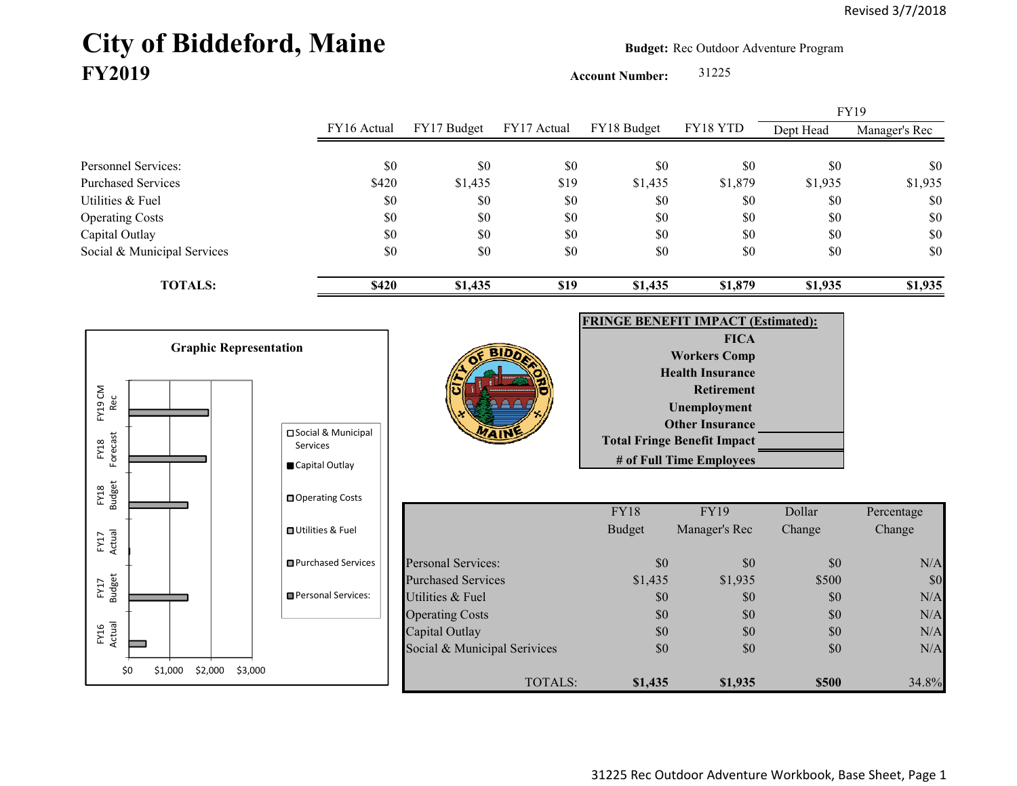## City of Biddeford, Maine **Budget:** Rec Outdoor Adventure Program **FY2019**

**Account Number:** 31225

FY16 Actual FY17 Budget FY17 Actual FY18 Budget FY18 YTD Dept Head Manager's Rec Personnel Services: \$0 \$0 \$0 \$0 \$0 \$0 \$0 Purchased Services 61,935 \$1,935 \$1,935 \$1,935 \$1,935 \$1,935 \$1,935 \$1,935 \$1,935 Utilities & Fuel \$0 \$0 \$0 \$0 \$0 \$0 \$0 Operating Costs \$0 \$0 \$0 \$0 \$0 \$0 Capital Outlay \$0 \$0 \$0 \$0 \$0 \$0 Social & Municipal Services \$0 \$0 \$0 \$0 \$0 \$0 \$0 **TOTALS: \$420 \$1,435 \$19 \$1,435 \$1,879 \$1,935 \$1,935** FY19

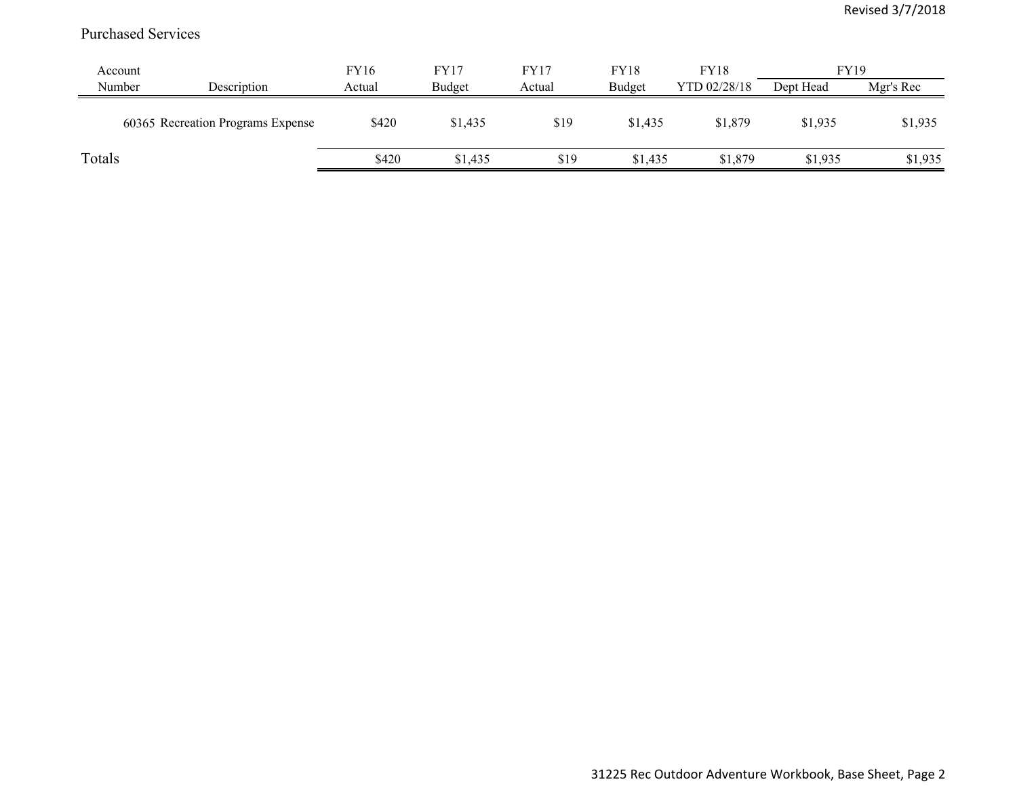## Purchased Services

| Account |                                   | FY16   | FY17    | <b>FY17</b> | <b>FY18</b> | <b>FY18</b>  | <b>FY19</b> |           |
|---------|-----------------------------------|--------|---------|-------------|-------------|--------------|-------------|-----------|
| Number  | Description                       | Actual | Budget  | Actual      | Budget      | YTD 02/28/18 | Dept Head   | Mgr's Rec |
|         | 60365 Recreation Programs Expense | \$420  | \$1,435 | \$19        | \$1,435     | \$1,879      | \$1,935     | \$1,935   |
| Totals  |                                   | \$420  | \$1,435 | \$19        | \$1,435     | \$1,879      | \$1,935     | \$1,935   |